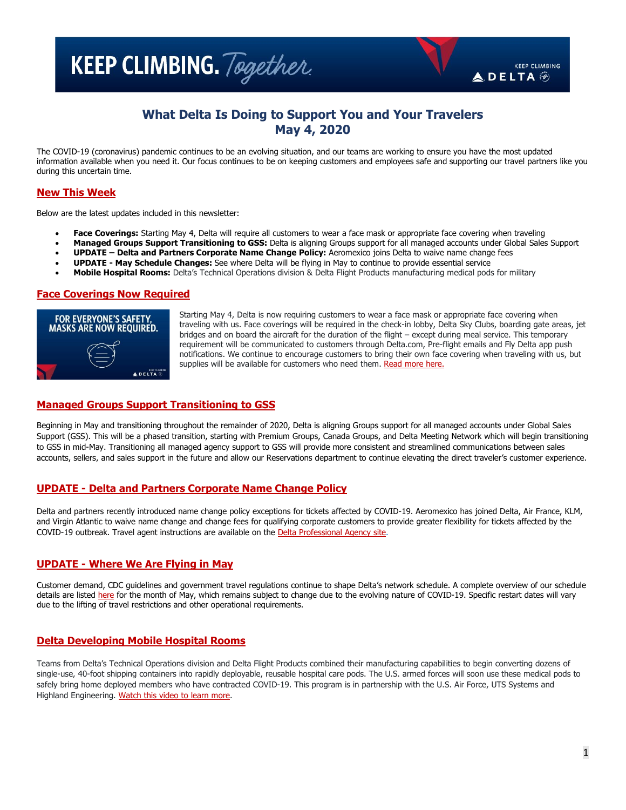**KEEP CLIMBING.** Together.

# **What Delta Is Doing to Support You and Your Travelers May 4, 2020**

The COVID-19 (coronavirus) pandemic continues to be an evolving situation, and our teams are working to ensure you have the most updated information available when you need it. Our focus continues to be on keeping customers and employees safe and supporting our travel partners like you during this uncertain time.

# **New This Week**

Below are the latest updates included in this newsletter:

- **Face Coverings:** Starting May 4, Delta will require all customers to wear a face mask or appropriate face covering when traveling
- **Managed Groups Support Transitioning to GSS:** Delta is aligning Groups support for all managed accounts under Global Sales Support
- **UPDATE – Delta and Partners Corporate Name Change Policy:** Aeromexico joins Delta to waive name change fees
- **UPDATE - May Schedule Changes:** See where Delta will be flying in May to continue to provide essential service
- **Mobile Hospital Rooms:** Delta's Technical Operations division & Delta Flight Products manufacturing medical pods for military

#### **Face Coverings Now Required**



Starting May 4, Delta is now requiring customers to wear a face mask or appropriate face covering when traveling with us. Face coverings will be required in the check-in lobby, Delta Sky Clubs, boarding gate areas, jet bridges and on board the aircraft for the duration of the flight – except during meal service. This temporary requirement will be communicated to customers through Delta.com, Pre-flight emails and Fly Delta app push notifications. We continue to encourage customers to bring their own face covering when traveling with us, but supplies will be available for customers who need them. [Read more here.](https://news.delta.com/facecoverings)

#### **Managed Groups Support Transitioning to GSS**

Beginning in May and transitioning throughout the remainder of 2020, Delta is aligning Groups support for all managed accounts under Global Sales Support (GSS). This will be a phased transition, starting with Premium Groups, Canada Groups, and Delta Meeting Network which will begin transitioning to GSS in mid-May. Transitioning all managed agency support to GSS will provide more consistent and streamlined communications between sales accounts, sellers, and sales support in the future and allow our Reservations department to continue elevating the direct traveler's customer experience.

## **UPDATE - Delta and Partners Corporate Name Change Policy**

Delta and partners recently introduced name change policy exceptions for tickets affected by COVID-19. Aeromexico has joined Delta, Air France, KLM, and Virgin Atlantic to waive name change and change fees for qualifying corporate customers to provide greater flexibility for tickets affected by the COVID-19 outbreak. Travel agent instructions are available on th[e Delta Professional Agency site.](https://pro.delta.com/content/agency/us/en/orphan-page/coronavirus-situation---corporate-exception-.html)

#### **UPDATE - Where We Are Flying in May**

Customer demand, CDC guidelines and government travel regulations continue to shape Delta's network schedule. A complete overview of our schedule details are listed [here](https://news.delta.com/where-delta-flying-may) for the month of May, which remains subject to change due to the evolving nature of COVID-19. Specific restart dates will vary due to the lifting of travel restrictions and other operational requirements.

#### **Delta Developing Mobile Hospital Rooms**

Teams from Delta's Technical Operations division and Delta Flight Products combined their manufacturing capabilities to begin converting dozens of single-use, 40-foot shipping containers into rapidly deployable, reusable hospital care pods. The U.S. armed forces will soon use these medical pods to safely bring home deployed members who have contracted COVID-19. This program is in partnership with the U.S. Air Force, UTS Systems and Highland Engineering. [Watch this video to learn more.](https://news.delta.com/delta-developing-mobile-hospital-rooms-treat-and-transport-us-military-members-covid-19)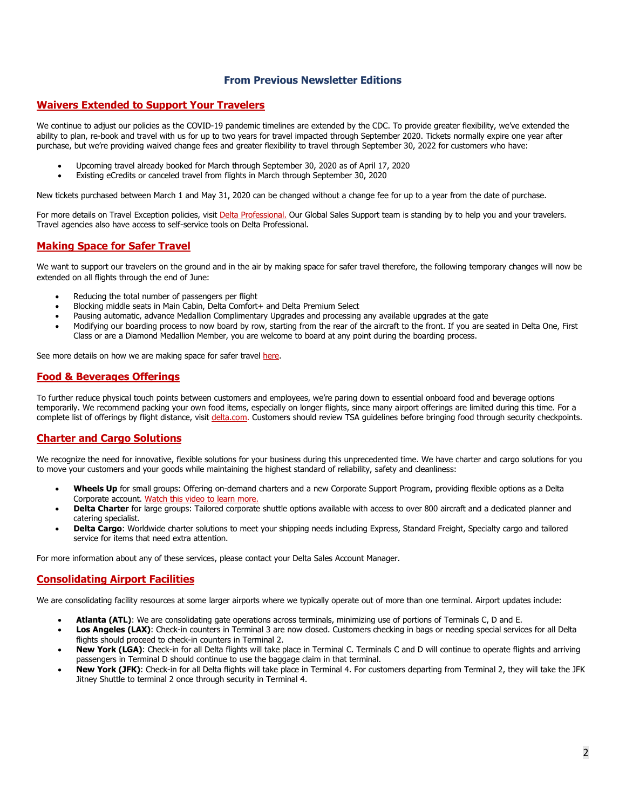## **From Previous Newsletter Editions**

## **Waivers Extended to Support Your Travelers**

We continue to adjust our policies as the COVID-19 pandemic timelines are extended by the CDC. To provide greater flexibility, we've extended the ability to plan, re-book and travel with us for up to two years for travel impacted through September 2020. Tickets normally expire one year after purchase, but we're providing waived change fees and greater flexibility to travel through September 30, 2022 for customers who have:

- Upcoming travel already booked for March through September 30, 2020 as of April 17, 2020
- Existing eCredits or canceled travel from flights in March through September 30, 2020

New tickets purchased between March 1 and May 31, 2020 can be changed without a change fee for up to a year from the date of purchase.

For more details on Travel Exception policies, visit [Delta Professional.](https://pro.delta.com/content/agency/us/en/news/exception-policy-archive.html) Our Global Sales Support team is standing by to help you and your travelers. Travel agencies also have access to self-service tools on Delta Professional.

## **Making Space for Safer Travel**

We want to support our travelers on the ground and in the air by making space for safer travel therefore, the following temporary changes will now be extended on all flights through the end of June:

- Reducing the total number of passengers per flight
- Blocking middle seats in Main Cabin, Delta Comfort+ and Delta Premium Select
- Pausing automatic, advance Medallion Complimentary Upgrades and processing any available upgrades at the gate
- Modifying our boarding process to now board by row, starting from the rear of the aircraft to the front. If you are seated in Delta One, First Class or are a Diamond Medallion Member, you are welcome to board at any point during the boarding process.

See more details on how we are making space for safer travel [here.](https://news.delta.com/delta-blocking-middle-seats-pausing-automatic-advance-upgrades-and-more-enable-social-distancing)

# **Food & Beverages Offerings**

To further reduce physical touch points between customers and employees, we're paring down to essential onboard food and beverage options temporarily. We recommend packing your own food items, especially on longer flights, since many airport offerings are limited during this time. For a complete list of offerings by flight distance, visit [delta.com.](https://www.delta.com/us/en/coronavirus-update-center/ways-we-are-keeping-you-safe/onboard-services/#foodandbev) Customers should review TSA guidelines before bringing food through security checkpoints.

# **Charter and Cargo Solutions**

We recognize the need for innovative, flexible solutions for your business during this unprecedented time. We have charter and cargo solutions for you to move your customers and your goods while maintaining the highest standard of reliability, safety and cleanliness:

- **Wheels Up** for small groups: Offering on-demand charters and a new Corporate Support Program, providing flexible options as a Delta Corporate account. [Watch this video](https://urldefense.com/v3/__https:/vimeo.com/wheelsup8760/review/410012172/00b8e60f26__;!!O8JL6HM!zNYTj2OgJfnSFqJkMIkPXdad9kyksfULestLqKIWZ4F55FIYk34WzRASbd0eqRe7$) to learn more.
- **Delta Charter** for large groups: Tailored corporate shuttle options available with access to over 800 aircraft and a dedicated planner and catering specialist.
- **Delta Cargo**: Worldwide charter solutions to meet your shipping needs including Express, Standard Freight, Specialty cargo and tailored service for items that need extra attention.

For more information about any of these services, please contact your Delta Sales Account Manager.

## **Consolidating Airport Facilities**

We are consolidating facility resources at some larger airports where we typically operate out of more than one terminal. Airport updates include:

- **Atlanta (ATL)**: We are consolidating gate operations across terminals, minimizing use of portions of Terminals C, D and E.
- **Los Angeles (LAX)**: Check-in counters in Terminal 3 are now closed. Customers checking in bags or needing special services for all Delta flights should proceed to check-in counters in Terminal 2.
- **New York (LGA)**: Check-in for all Delta flights will take place in Terminal C. Terminals C and D will continue to operate flights and arriving passengers in Terminal D should continue to use the baggage claim in that terminal.
- **New York (JFK)**: Check-in for all Delta flights will take place in Terminal 4. For customers departing from Terminal 2, they will take the JFK Jitney Shuttle to terminal 2 once through security in Terminal 4.